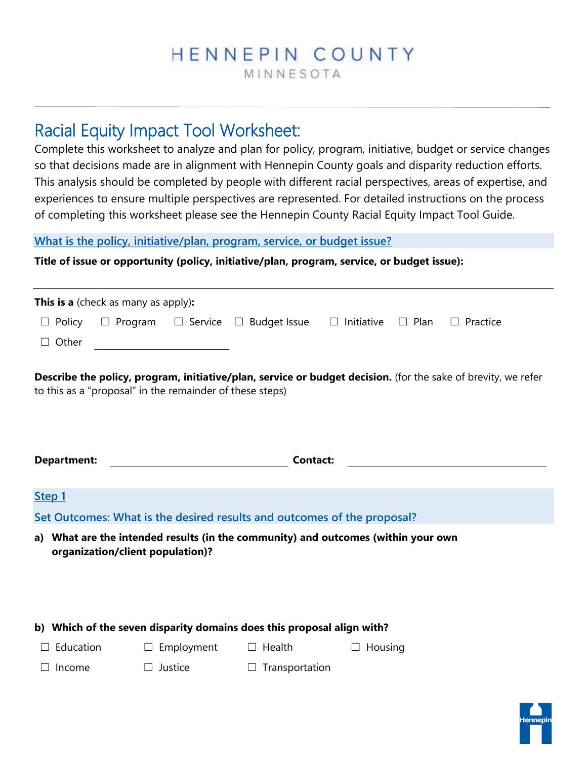# HENNEPIN COUNTY

MINNESOTA

# Racial Equity Impact Tool Worksheet:

Complete this worksheet to analyze and plan for policy, program, initiative, budget or service changes so that decisions made are in alignment with Hennepin County goals and disparity reduction efforts. This analysis should be completed by people with different racial perspectives, areas of expertise, and experiences to ensure multiple perspectives are represented. For detailed instructions on the process of completing this worksheet please see the Hennepin County Racial Equity Impact Tool Guide.

**What is the policy, initiative/plan, program, service, or budget issue?** 

**Title of issue or opportunity (policy, initiative/plan, program, service, or budget issue):** 

| <b>This is a</b> (check as many as apply):                                                                                                                                |                |  |                                    |                   |             |                    |  |  |
|---------------------------------------------------------------------------------------------------------------------------------------------------------------------------|----------------|--|------------------------------------|-------------------|-------------|--------------------|--|--|
| $\Box$ Policy                                                                                                                                                             | $\Box$ Program |  | $\Box$ Service $\Box$ Budget Issue | $\Box$ Initiative | $\Box$ Plan | Practice<br>$\Box$ |  |  |
| $\Box$ Other                                                                                                                                                              |                |  |                                    |                   |             |                    |  |  |
| Describe the policy, program, initiative/plan, service or budget decision. (for the sake of brevity, we refer<br>to this as a "proposal" in the remainder of these steps) |                |  |                                    |                   |             |                    |  |  |

| <b>Department:</b> | <b>Contact:</b> |
|--------------------|-----------------|
|                    |                 |

## **Step 1**

**Set Outcomes: What is the desired results and outcomes of the proposal?** 

**a) What are the intended results (in the community) and outcomes (within your own organization/client population)?**

**b) Which of the seven disparity domains does this proposal align with?**

☐ Education ☐ Employment ☐ Health ☐ Housing

☐ Income ☐ Justice ☐ Transportation

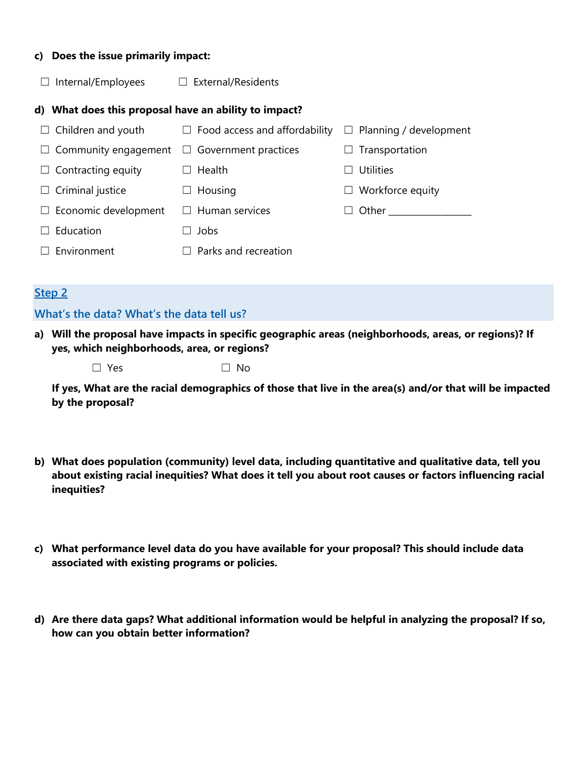#### **c) Does the issue primarily impact:**

☐ Internal/Employees ☐ External/Residents

#### **d) What does this proposal have an ability to impact?**

| $\Box$ Children and youth   | $\Box$ Food access and affordability | $\Box$ Planning / development |
|-----------------------------|--------------------------------------|-------------------------------|
| $\Box$ Community engagement | $\Box$ Government practices          | $\Box$ Transportation         |
| $\Box$ Contracting equity   | Health<br>$\Box$                     | <b>Utilities</b>              |
| $\Box$ Criminal justice     | $\Box$ Housing                       | $\Box$ Workforce equity       |
| $\Box$ Economic development | $\Box$ Human services                | Other                         |
| Education                   | Jobs                                 |                               |
| $\Box$ Environment          | Parks and recreation<br>$\mathsf{L}$ |                               |

#### **Step 2**

#### **What's the data? What's the data tell us?**

- **a) Will the proposal have impacts in specific geographic areas (neighborhoods, areas, or regions)? If yes, which neighborhoods, area, or regions?** 
	- $\Box$  Yes  $\Box$  No

**If yes, What are the racial demographics of those that live in the area(s) and/or that will be impacted by the proposal?** 

- **b) What does population (community) level data, including quantitative and qualitative data, tell you about existing racial inequities? What does it tell you about root causes or factors influencing racial inequities?**
- **c) What performance level data do you have available for your proposal? This should include data associated with existing programs or policies.**
- **d) Are there data gaps? What additional information would be helpful in analyzing the proposal? If so, how can you obtain better information?**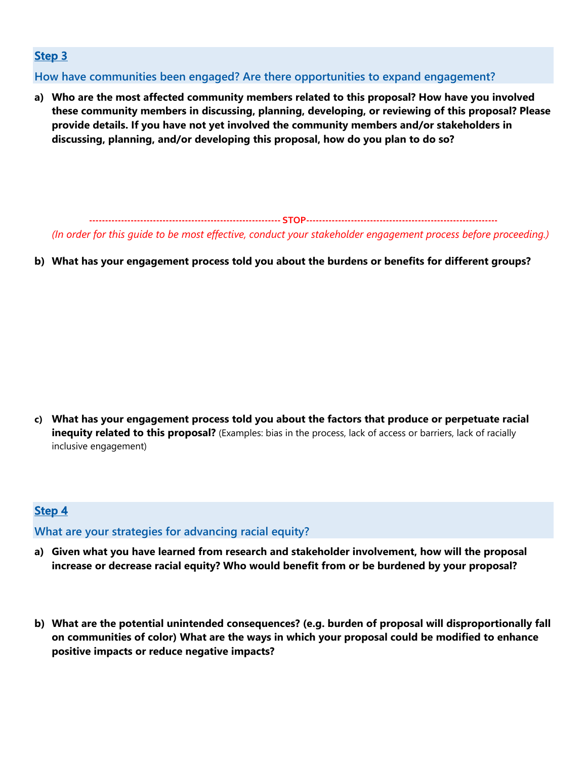## **Step 3**

**How have communities been engaged? Are there opportunities to expand engagement?** 

**a) Who are the most affected community members related to this proposal? How have you involved these community members in discussing, planning, developing, or reviewing of this proposal? Please provide details. If you have not yet involved the community members and/or stakeholders in discussing, planning, and/or developing this proposal, how do you plan to do so?** 

**‐‐‐‐‐‐‐‐‐‐‐‐‐‐‐‐‐‐‐‐‐‐‐‐‐‐‐‐‐‐‐‐‐‐‐‐‐‐‐‐‐‐‐‐‐‐‐‐‐‐‐‐‐‐‐‐‐‐‐‐ STOP‐‐‐‐‐‐‐‐‐‐‐‐‐‐‐‐‐‐‐‐‐‐‐‐‐‐‐‐‐‐‐‐‐‐‐‐‐‐‐‐‐‐‐‐‐‐‐‐‐‐‐‐‐‐‐‐‐‐‐‐**  *(In order for this guide to be most effective, conduct your stakeholder engagement process before proceeding.)*

**b) What has your engagement process told you about the burdens or benefits for different groups?** 

**c) What has your engagement process told you about the factors that produce or perpetuate racial inequity related to this proposal?** (Examples: bias in the process, lack of access or barriers, lack of racially inclusive engagement)

## **Step 4**

**What are your strategies for advancing racial equity?** 

- **a) Given what you have learned from research and stakeholder involvement, how will the proposal increase or decrease racial equity? Who would benefit from or be burdened by your proposal?**
- **b) What are the potential unintended consequences? (e.g. burden of proposal will disproportionally fall on communities of color) What are the ways in which your proposal could be modified to enhance positive impacts or reduce negative impacts?**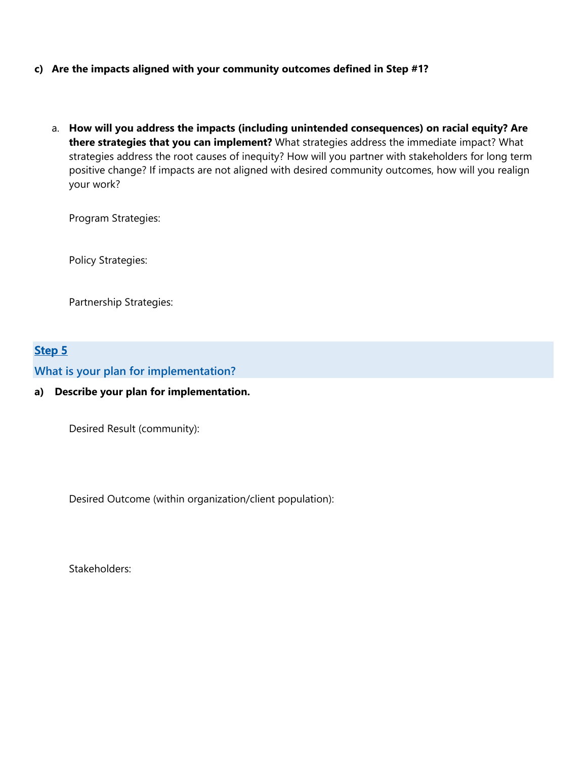- **c) Are the impacts aligned with your community outcomes defined in Step #1?** 
	- a. **How will you address the impacts (including unintended consequences) on racial equity? Are there strategies that you can implement?** What strategies address the immediate impact? What strategies address the root causes of inequity? How will you partner with stakeholders for long term positive change? If impacts are not aligned with desired community outcomes, how will you realign your work?

Program Strategies:

Policy Strategies:

Partnership Strategies:

## **Step 5**

**What is your plan for implementation?** 

#### **a) Describe your plan for implementation.**

Desired Result (community):

Desired Outcome (within organization/client population):

Stakeholders: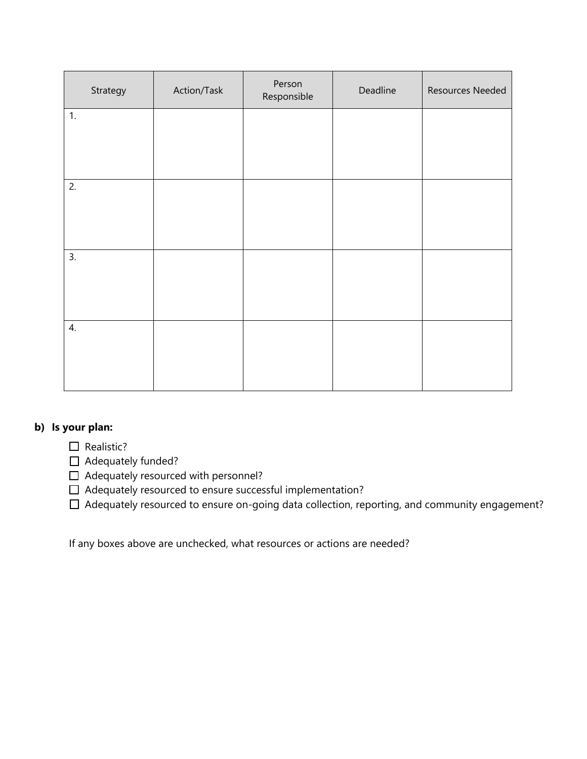| Strategy | Action/Task | Person<br>Responsible | Deadline | Resources Needed |
|----------|-------------|-----------------------|----------|------------------|
| 1.       |             |                       |          |                  |
|          |             |                       |          |                  |
| 2.       |             |                       |          |                  |
|          |             |                       |          |                  |
| 3.       |             |                       |          |                  |
|          |             |                       |          |                  |
| 4.       |             |                       |          |                  |
|          |             |                       |          |                  |

#### **b) Is your plan:**

□ Realistic?

□ Adequately funded?

- ☐ Adequately resourced with personnel?
- ☐ Adequately resourced to ensure successful implementation?

☐ Adequately resourced to ensure on-going data collection, reporting, and community engagement?

If any boxes above are unchecked, what resources or actions are needed?